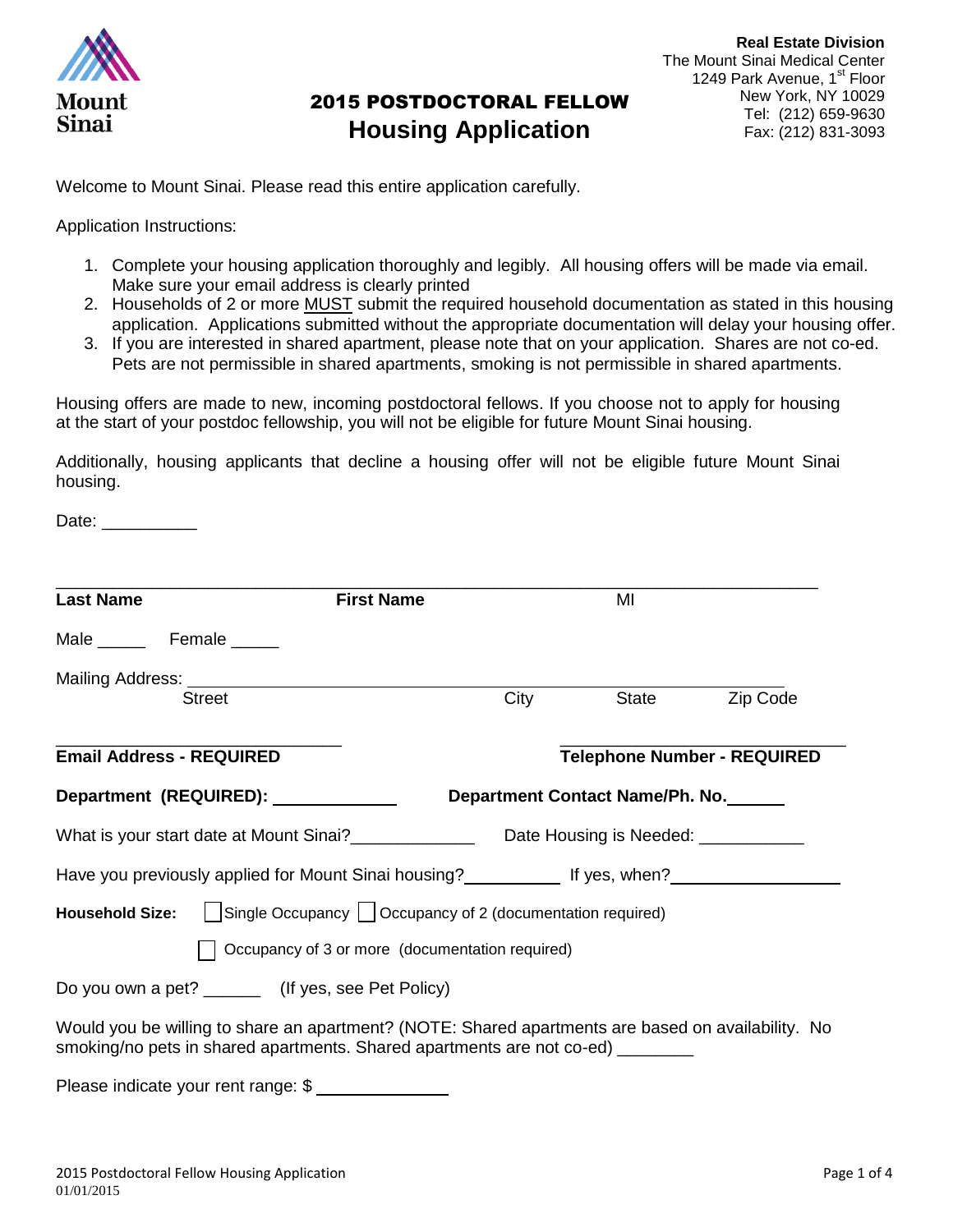

Welcome to Mount Sinai. Please read this entire application carefully.

Application Instructions:

- 1. Complete your housing application thoroughly and legibly. All housing offers will be made via email. Make sure your email address is clearly printed
- 2. Households of 2 or more MUST submit the required household documentation as stated in this housing application. Applications submitted without the appropriate documentation will delay your housing offer.
- 3. If you are interested in shared apartment, please note that on your application. Shares are not co-ed. Pets are not permissible in shared apartments, smoking is not permissible in shared apartments.

Housing offers are made to new, incoming postdoctoral fellows. If you choose not to apply for housing at the start of your postdoc fellowship, you will not be eligible for future Mount Sinai housing.

Additionally, housing applicants that decline a housing offer will not be eligible future Mount Sinai housing.

Date: \_\_\_\_\_\_\_\_\_\_\_\_

| <b>Last Name</b>                      | <b>First Name</b>                                                                                                                                                                     |      | MI                              |                                    |  |
|---------------------------------------|---------------------------------------------------------------------------------------------------------------------------------------------------------------------------------------|------|---------------------------------|------------------------------------|--|
| Male ________ Female ______           |                                                                                                                                                                                       |      |                                 |                                    |  |
|                                       |                                                                                                                                                                                       |      |                                 |                                    |  |
| <b>Street</b>                         |                                                                                                                                                                                       | City | State                           | Zip Code                           |  |
| <b>Email Address - REQUIRED</b>       |                                                                                                                                                                                       |      |                                 | <b>Telephone Number - REQUIRED</b> |  |
| Department (REQUIRED): ______________ |                                                                                                                                                                                       |      | Department Contact Name/Ph. No. |                                    |  |
|                                       | What is your start date at Mount Sinai?_____________________Date Housing is Needed: _______________                                                                                   |      |                                 |                                    |  |
|                                       | Have you previously applied for Mount Sinai housing? ____________ If yes, when? ___________________                                                                                   |      |                                 |                                    |  |
|                                       | <b>Household Size:</b> $\Box$ Single Occupancy $\Box$ Occupancy of 2 (documentation required)                                                                                         |      |                                 |                                    |  |
|                                       | Occupancy of 3 or more (documentation required)                                                                                                                                       |      |                                 |                                    |  |
|                                       | Do you own a pet? _________ (If yes, see Pet Policy)                                                                                                                                  |      |                                 |                                    |  |
|                                       | Would you be willing to share an apartment? (NOTE: Shared apartments are based on availability. No<br>smoking/no pets in shared apartments. Shared apartments are not co-ed) ________ |      |                                 |                                    |  |
|                                       | Please indicate your rent range: \$                                                                                                                                                   |      |                                 |                                    |  |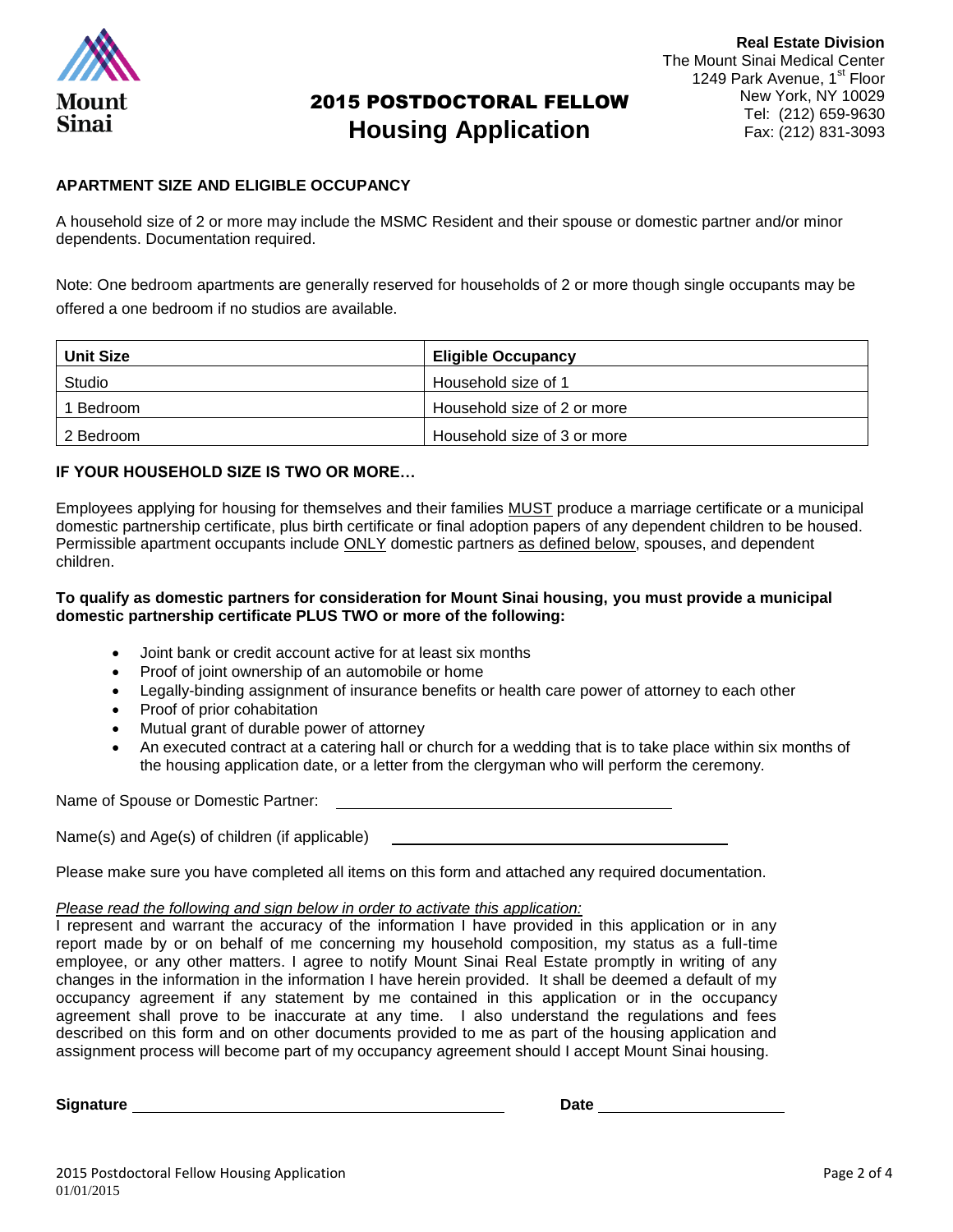

### **APARTMENT SIZE AND ELIGIBLE OCCUPANCY**

A household size of 2 or more may include the MSMC Resident and their spouse or domestic partner and/or minor dependents. Documentation required.

Note: One bedroom apartments are generally reserved for households of 2 or more though single occupants may be offered a one bedroom if no studios are available.

| <b>Unit Size</b> | <b>Eligible Occupancy</b>   |
|------------------|-----------------------------|
| Studio           | Household size of 1         |
| 1 Bedroom        | Household size of 2 or more |
| 2 Bedroom        | Household size of 3 or more |

#### **IF YOUR HOUSEHOLD SIZE IS TWO OR MORE…**

Employees applying for housing for themselves and their families MUST produce a marriage certificate or a municipal domestic partnership certificate, plus birth certificate or final adoption papers of any dependent children to be housed. Permissible apartment occupants include ONLY domestic partners as defined below, spouses, and dependent children.

#### **To qualify as domestic partners for consideration for Mount Sinai housing, you must provide a municipal domestic partnership certificate PLUS TWO or more of the following:**

- Joint bank or credit account active for at least six months
- Proof of joint ownership of an automobile or home
- Legally-binding assignment of insurance benefits or health care power of attorney to each other
- Proof of prior cohabitation
- Mutual grant of durable power of attorney
- An executed contract at a catering hall or church for a wedding that is to take place within six months of the housing application date, or a letter from the clergyman who will perform the ceremony.

Name of Spouse or Domestic Partner:

Name(s) and Age(s) of children (if applicable)

Please make sure you have completed all items on this form and attached any required documentation.

#### *Please read the following and sign below in order to activate this application:*

I represent and warrant the accuracy of the information I have provided in this application or in any report made by or on behalf of me concerning my household composition, my status as a full-time employee, or any other matters. I agree to notify Mount Sinai Real Estate promptly in writing of any changes in the information in the information I have herein provided. It shall be deemed a default of my occupancy agreement if any statement by me contained in this application or in the occupancy agreement shall prove to be inaccurate at any time. I also understand the regulations and fees described on this form and on other documents provided to me as part of the housing application and assignment process will become part of my occupancy agreement should I accept Mount Sinai housing.

**Signature Date**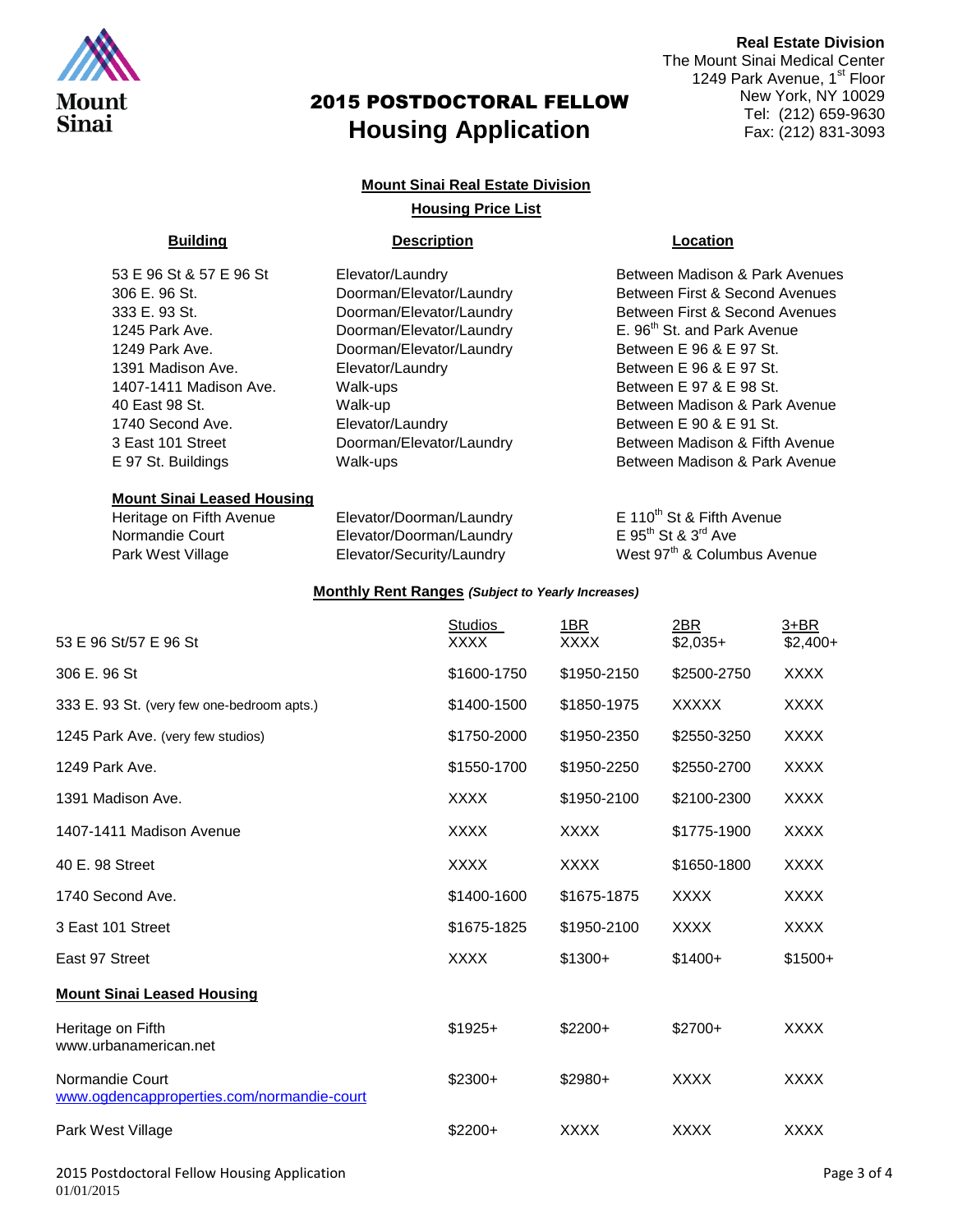

#### **Mount Sinai Real Estate Division**

#### **Housing Price List**

#### **Building Description Location**

| 53 E 96 St & 57 E 96 St |  |  |  |  |
|-------------------------|--|--|--|--|
| 306 E. 96 St.           |  |  |  |  |
| 333 E. 93 St.           |  |  |  |  |
| 1245 Park Ave.          |  |  |  |  |
| 1249 Park Ave.          |  |  |  |  |
| 1391 Madison Ave.       |  |  |  |  |
| 1407-1411 Madison Ave.  |  |  |  |  |
| 40 East 98 St.          |  |  |  |  |
| 1740 Second Ave.        |  |  |  |  |
| 3 East 101 Street       |  |  |  |  |
| E 97 St. Buildinas      |  |  |  |  |

#### **Mount Sinai Leased Housing**

Heritage on Fifth Avenue Elevator/Doorman/Laundry E 110<sup>th</sup> St & Fifth Avenue<br>Normandie Court Elevator/Doorman/Laundry E 95<sup>th</sup> St & 3<sup>rd</sup> Ave Normandie Court Elevator/Doorman/Laundry

#### **Monthly Rent Ranges** *(Subject to Yearly Increases)*

### **Real Estate Division** The Mount Sinai Medical Center 1249 Park Avenue, 1<sup>st</sup> Floor New York, NY 10029 Tel: (212) 659-9630 Fax: (212) 831-3093

Elevator/Laundry **Elevator** Between Madison & Park Avenues Doorman/Elevator/Laundry Between First & Second Avenues Doorman/Elevator/Laundry Between First & Second Avenues Doorman/Elevator/Laundry E. 96<sup>th</sup> St. and Park Avenue Doorman/Elevator/Laundry Between E 96 & E 97 St. Elevator/Laundry Between E 96 & E 97 St. Walk-ups Between E 97 & E 98 St. Walk-up **Between Madison & Park Avenue** Between Madison & Park Avenue Elevator/Laundry Between E 90 & E 91 St. Doorman/Elevator/Laundry Between Madison & Fifth Avenue 97 St. Buildings **Exercise St. Buildings** Walk-ups **Between Madison & Park Avenue** 

Park West Village Elevator/Security/Laundry West 97<sup>th</sup> & Columbus Avenue

|                                                               | <b>Studios</b> | 1BR         | 2BR          | 3+BR        |
|---------------------------------------------------------------|----------------|-------------|--------------|-------------|
| 53 E 96 St/57 E 96 St                                         | <b>XXXX</b>    | XXXX        | $$2,035+$    | $$2,400+$   |
| 306 E, 96 St                                                  | \$1600-1750    | \$1950-2150 | \$2500-2750  | <b>XXXX</b> |
| 333 E. 93 St. (very few one-bedroom apts.)                    | \$1400-1500    | \$1850-1975 | <b>XXXXX</b> | <b>XXXX</b> |
| 1245 Park Ave. (very few studios)                             | \$1750-2000    | \$1950-2350 | \$2550-3250  | <b>XXXX</b> |
| 1249 Park Ave.                                                | \$1550-1700    | \$1950-2250 | \$2550-2700  | <b>XXXX</b> |
| 1391 Madison Ave.                                             | <b>XXXX</b>    | \$1950-2100 | \$2100-2300  | <b>XXXX</b> |
| 1407-1411 Madison Avenue                                      | <b>XXXX</b>    | <b>XXXX</b> | \$1775-1900  | <b>XXXX</b> |
| 40 E. 98 Street                                               | <b>XXXX</b>    | <b>XXXX</b> | \$1650-1800  | <b>XXXX</b> |
| 1740 Second Ave.                                              | \$1400-1600    | \$1675-1875 | <b>XXXX</b>  | <b>XXXX</b> |
| 3 East 101 Street                                             | \$1675-1825    | \$1950-2100 | <b>XXXX</b>  | <b>XXXX</b> |
| East 97 Street                                                | <b>XXXX</b>    | $$1300+$    | $$1400+$     | $$1500+$    |
| <b>Mount Sinai Leased Housing</b>                             |                |             |              |             |
| Heritage on Fifth<br>www.urbanamerican.net                    | $$1925+$       | $$2200+$    | $$2700+$     | <b>XXXX</b> |
| Normandie Court<br>www.ogdencapproperties.com/normandie-court | $$2300+$       | \$2980+     | <b>XXXX</b>  | <b>XXXX</b> |
| Park West Village                                             | $$2200+$       | <b>XXXX</b> | <b>XXXX</b>  | <b>XXXX</b> |
|                                                               |                |             |              |             |